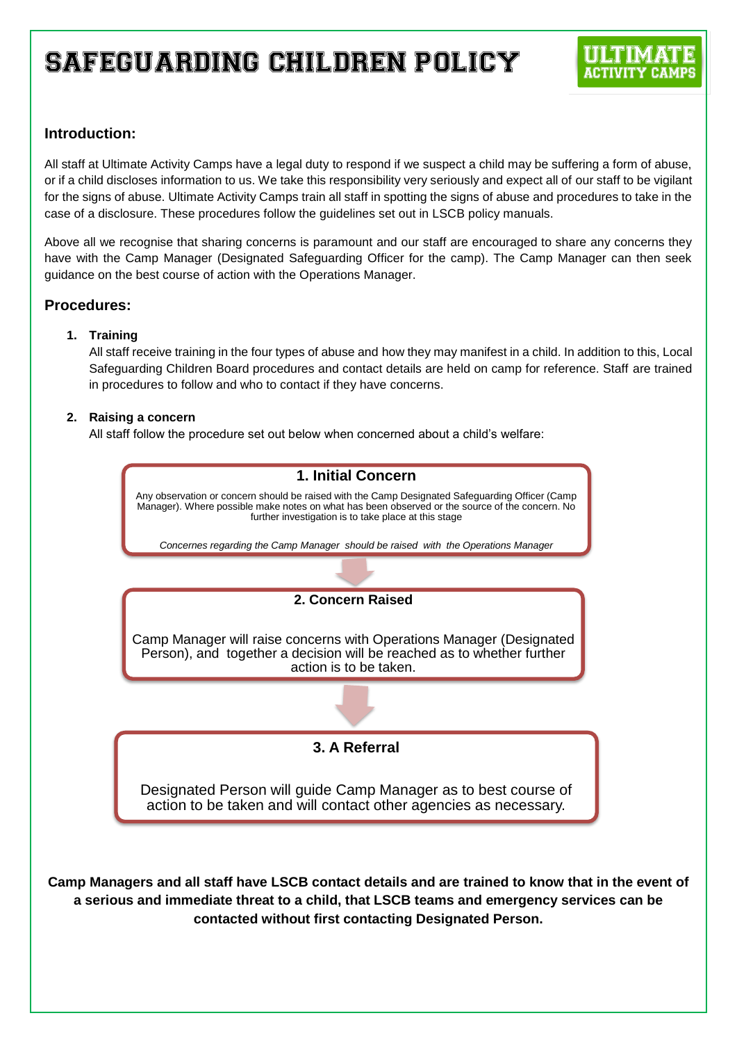# **Introduction:**

All staff at Ultimate Activity Camps have a legal duty to respond if we suspect a child may be suffering a form of abuse, or if a child discloses information to us. We take this responsibility very seriously and expect all of our staff to be vigilant for the signs of abuse. Ultimate Activity Camps train all staff in spotting the signs of abuse and procedures to take in the case of a disclosure. These procedures follow the guidelines set out in LSCB policy manuals.

Above all we recognise that sharing concerns is paramount and our staff are encouraged to share any concerns they have with the Camp Manager (Designated Safeguarding Officer for the camp). The Camp Manager can then seek guidance on the best course of action with the Operations Manager.

## **Procedures:**

### **1. Training**

All staff receive training in the four types of abuse and how they may manifest in a child. In addition to this, Local Safeguarding Children Board procedures and contact details are held on camp for reference. Staff are trained in procedures to follow and who to contact if they have concerns.

### **2. Raising a concern**

All staff follow the procedure set out below when concerned about a child's welfare:

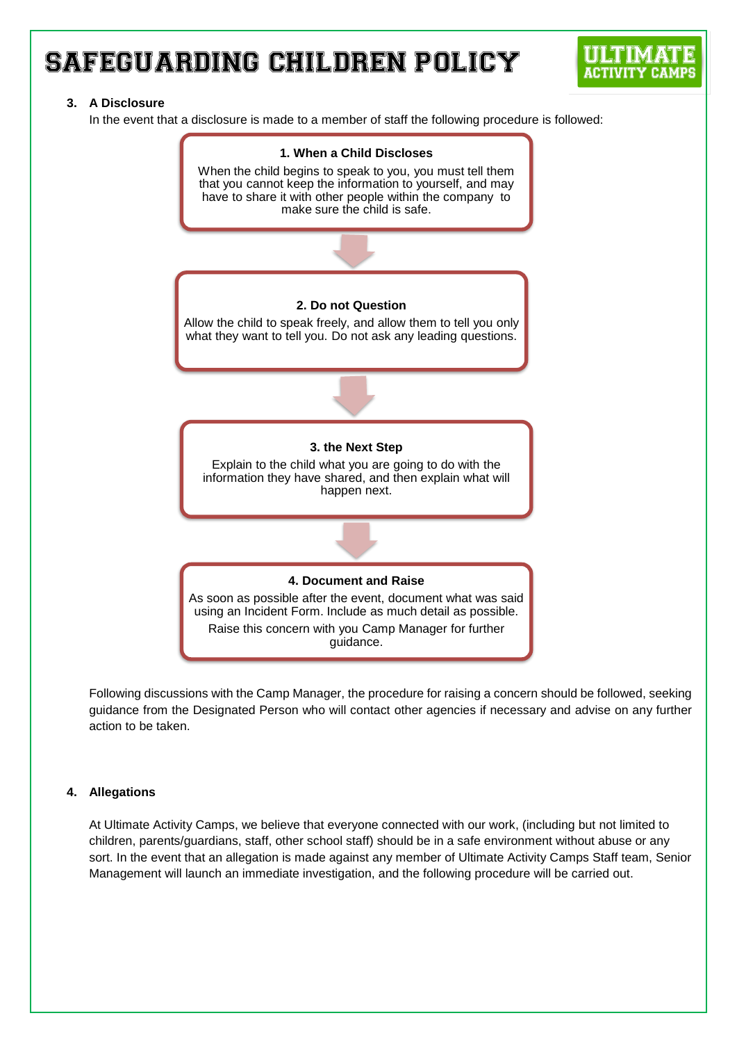### **3. A Disclosure**

In the event that a disclosure is made to a member of staff the following procedure is followed:



Following discussions with the Camp Manager, the procedure for raising a concern should be followed, seeking guidance from the Designated Person who will contact other agencies if necessary and advise on any further action to be taken.

### **4. Allegations**

At Ultimate Activity Camps, we believe that everyone connected with our work, (including but not limited to children, parents/guardians, staff, other school staff) should be in a safe environment without abuse or any sort. In the event that an allegation is made against any member of Ultimate Activity Camps Staff team, Senior Management will launch an immediate investigation, and the following procedure will be carried out.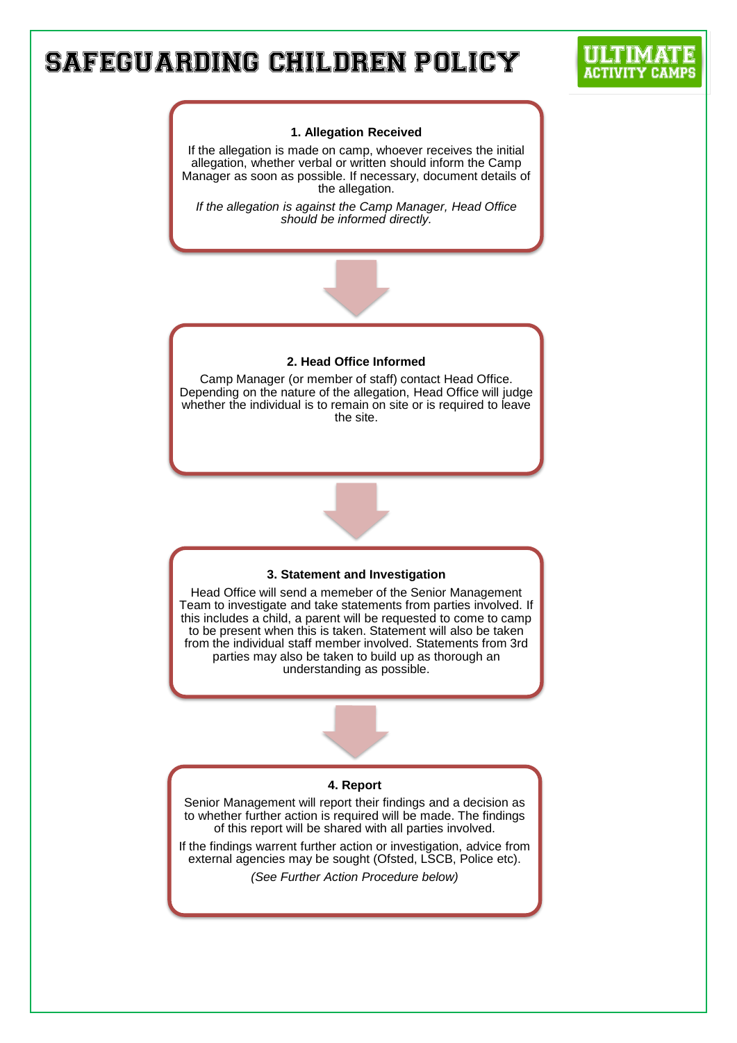#### **1. Allegation Received**

If the allegation is made on camp, whoever receives the initial allegation, whether verbal or written should inform the Camp Manager as soon as possible. If necessary, document details of the allegation.

*If the allegation is against the Camp Manager, Head Office should be informed directly.*

#### **2. Head Office Informed**

Camp Manager (or member of staff) contact Head Office. Depending on the nature of the allegation, Head Office will judge whether the individual is to remain on site or is required to leave the site.



#### **3. Statement and Investigation**

Head Office will send a memeber of the Senior Management Team to investigate and take statements from parties involved. If this includes a child, a parent will be requested to come to camp to be present when this is taken. Statement will also be taken from the individual staff member involved. Statements from 3rd parties may also be taken to build up as thorough an understanding as possible.

#### **4. Report**

Senior Management will report their findings and a decision as to whether further action is required will be made. The findings of this report will be shared with all parties involved.

If the findings warrent further action or investigation, advice from external agencies may be sought (Ofsted, LSCB, Police etc).

*(See Further Action Procedure below)*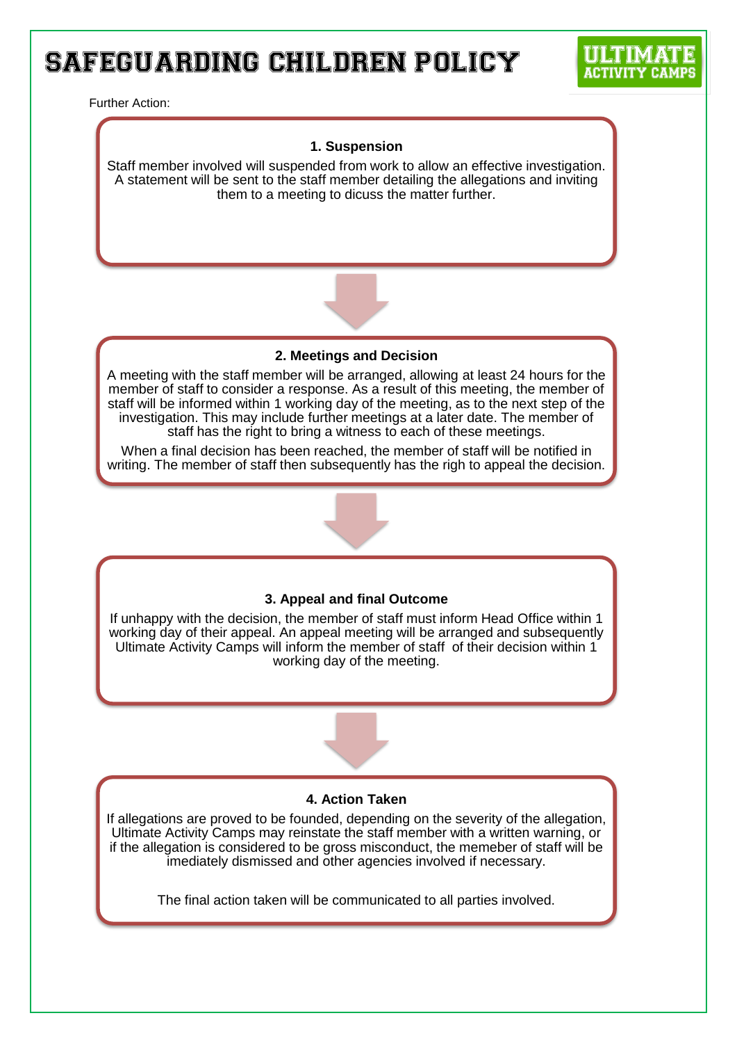#### Further Action:

### **1. Suspension**

Staff member involved will suspended from work to allow an effective investigation. A statement will be sent to the staff member detailing the allegations and inviting them to a meeting to dicuss the matter further.



**2. Meetings and Decision**

A meeting with the staff member will be arranged, allowing at least 24 hours for the member of staff to consider a response. As a result of this meeting, the member of staff will be informed within 1 working day of the meeting, as to the next step of the investigation. This may include further meetings at a later date. The member of staff has the right to bring a witness to each of these meetings.

When a final decision has been reached, the member of staff will be notified in writing. The member of staff then subsequently has the righ to appeal the decision.



If unhappy with the decision, the member of staff must inform Head Office within 1 working day of their appeal. An appeal meeting will be arranged and subsequently Ultimate Activity Camps will inform the member of staff of their decision within 1 working day of the meeting.

#### **4. Action Taken**

If allegations are proved to be founded, depending on the severity of the allegation, Ultimate Activity Camps may reinstate the staff member with a written warning, or if the allegation is considered to be gross misconduct, the memeber of staff will be imediately dismissed and other agencies involved if necessary.

The final action taken will be communicated to all parties involved.